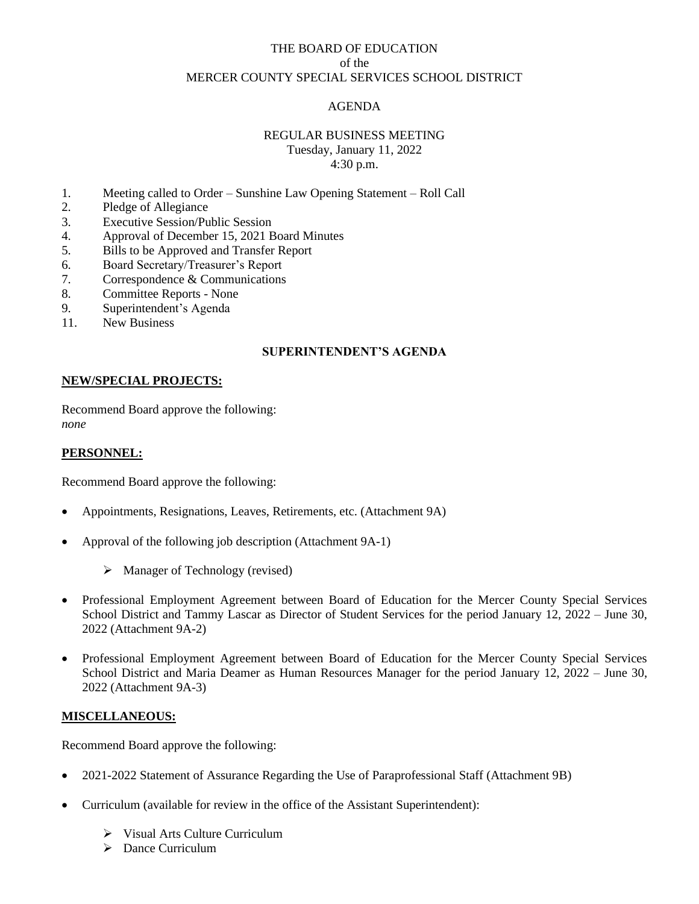### THE BOARD OF EDUCATION of the MERCER COUNTY SPECIAL SERVICES SCHOOL DISTRICT

# AGENDA

### REGULAR BUSINESS MEETING Tuesday, January 11, 2022 4:30 p.m.

- 1. Meeting called to Order Sunshine Law Opening Statement Roll Call
- 2. Pledge of Allegiance
- 3. Executive Session/Public Session
- 4. Approval of December 15, 2021 Board Minutes
- 5. Bills to be Approved and Transfer Report
- 6. Board Secretary/Treasurer's Report
- 7. Correspondence & Communications
- 8. Committee Reports None
- 9. Superintendent's Agenda
- 11. New Business

# **SUPERINTENDENT'S AGENDA**

### **NEW/SPECIAL PROJECTS:**

Recommend Board approve the following: *none*

#### **PERSONNEL:**

Recommend Board approve the following:

- Appointments, Resignations, Leaves, Retirements, etc. (Attachment 9A)
- Approval of the following job description (Attachment 9A-1)
	- ➢ Manager of Technology (revised)
- Professional Employment Agreement between Board of Education for the Mercer County Special Services School District and Tammy Lascar as Director of Student Services for the period January 12, 2022 – June 30, 2022 (Attachment 9A-2)
- Professional Employment Agreement between Board of Education for the Mercer County Special Services School District and Maria Deamer as Human Resources Manager for the period January 12, 2022 – June 30, 2022 (Attachment 9A-3)

#### **MISCELLANEOUS:**

Recommend Board approve the following:

- 2021-2022 Statement of Assurance Regarding the Use of Paraprofessional Staff (Attachment 9B)
- Curriculum (available for review in the office of the Assistant Superintendent):
	- ➢ Visual Arts Culture Curriculum
	- ➢ Dance Curriculum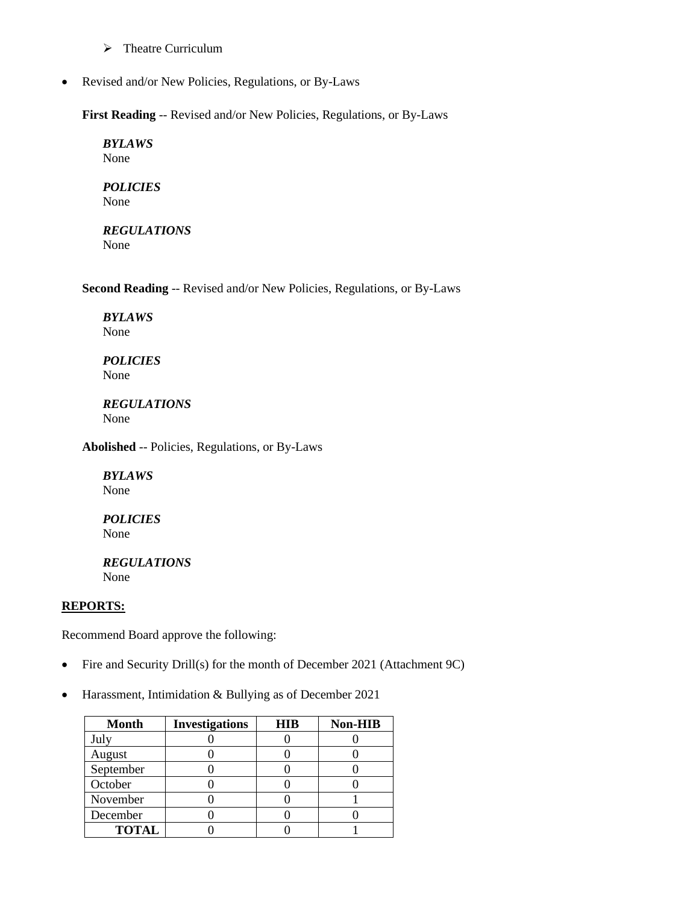- ➢ Theatre Curriculum
- Revised and/or New Policies, Regulations, or By-Laws

**First Reading** -- Revised and/or New Policies, Regulations, or By-Laws

*BYLAWS* None

*POLICIES* None

*REGULATIONS* None

**Second Reading** -- Revised and/or New Policies, Regulations, or By-Laws

*BYLAWS* None

*POLICIES* None

*REGULATIONS* None

**Abolished** -- Policies, Regulations, or By-Laws

*BYLAWS* None

*POLICIES* None

*REGULATIONS* None

### **REPORTS:**

Recommend Board approve the following:

- Fire and Security Drill(s) for the month of December 2021 (Attachment 9C)
- Harassment, Intimidation & Bullying as of December 2021

| <b>Month</b> | <b>Investigations</b> | <b>HIB</b> | <b>Non-HIB</b> |
|--------------|-----------------------|------------|----------------|
| July         |                       |            |                |
| August       |                       |            |                |
| September    |                       |            |                |
| October      |                       |            |                |
| November     |                       |            |                |
| December     |                       |            |                |
| <b>TOTAL</b> |                       |            |                |